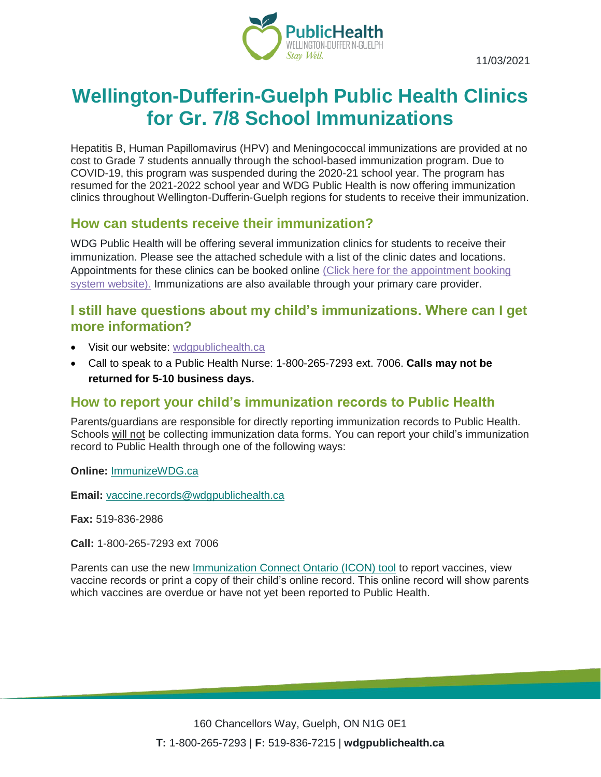

11/03/2021

# **Wellington-Dufferin-Guelph Public Health Clinics for Gr. 7/8 School Immunizations**

Hepatitis B, Human Papillomavirus (HPV) and Meningococcal immunizations are provided at no cost to Grade 7 students annually through the school-based immunization program. Due to COVID-19, this program was suspended during the 2020-21 school year. The program has resumed for the 2021-2022 school year and WDG Public Health is now offering immunization clinics throughout Wellington-Dufferin-Guelph regions for students to receive their immunization.

### **How can students receive their immunization?**

WDG Public Health will be offering several immunization clinics for students to receive their immunization. Please see the attached schedule with a list of the clinic dates and locations. Appointments for these clinics can be booked online [\(Click here for the appointment booking](https://wdgpublichealth.inputhealth.com/ebooking#new)  [system website\).](https://wdgpublichealth.inputhealth.com/ebooking#new) Immunizations are also available through your primary care provider.

#### **I still have questions about my child's immunizations. Where can I get more information?**

- Visit our website: [wdgpublichealth.ca](http://www.wdgpublichealth.ca/)
- Call to speak to a Public Health Nurse: 1-800-265-7293 ext. 7006. **Calls may not be returned for 5-10 business days.**

#### **How to report your child's immunization records to Public Health**

Parents/guardians are responsible for directly reporting immunization records to Public Health. Schools will not be collecting immunization data forms. You can report your child's immunization record to Public Health through one of the following ways:

**Online:** [ImmunizeWDG.ca](https://wdgph.icon.ehealthontario.ca/#!/welcome)

**Email:** [vaccine.records@wdgpublichealth.ca](mailto:vaccine.records@wdgpublichealth.ca)

**Fax:** 519-836-2986

**Call:** 1-800-265-7293 ext 7006

Parents can use the new [Immunization Connect Ontario \(ICON\) tool](https://wdgph.icon.ehealthontario.ca/#!/welcome) to report vaccines, view vaccine records or print a copy of their child's online record. This online record will show parents which vaccines are overdue or have not yet been reported to Public Health.